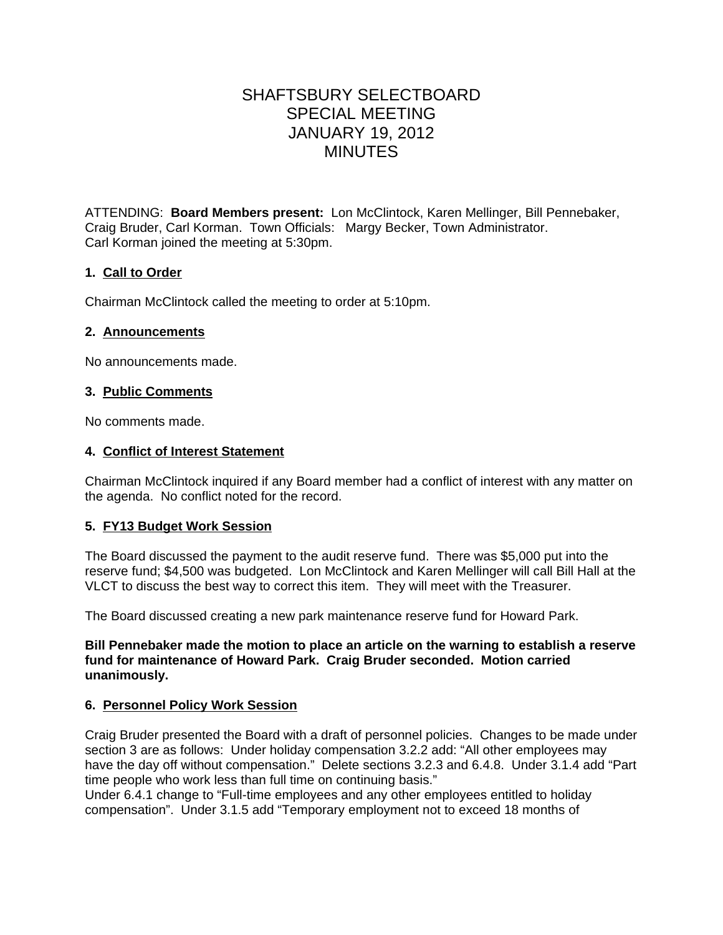# SHAFTSBURY SELECTBOARD SPECIAL MEETING JANUARY 19, 2012 MINUTES

ATTENDING: **Board Members present:** Lon McClintock, Karen Mellinger, Bill Pennebaker, Craig Bruder, Carl Korman. Town Officials: Margy Becker, Town Administrator. Carl Korman joined the meeting at 5:30pm.

## **1. Call to Order**

Chairman McClintock called the meeting to order at 5:10pm.

#### **2. Announcements**

No announcements made.

### **3. Public Comments**

No comments made.

### **4. Conflict of Interest Statement**

Chairman McClintock inquired if any Board member had a conflict of interest with any matter on the agenda. No conflict noted for the record.

### **5. FY13 Budget Work Session**

The Board discussed the payment to the audit reserve fund. There was \$5,000 put into the reserve fund; \$4,500 was budgeted. Lon McClintock and Karen Mellinger will call Bill Hall at the VLCT to discuss the best way to correct this item. They will meet with the Treasurer.

The Board discussed creating a new park maintenance reserve fund for Howard Park.

**Bill Pennebaker made the motion to place an article on the warning to establish a reserve fund for maintenance of Howard Park. Craig Bruder seconded. Motion carried unanimously.**

### **6. Personnel Policy Work Session**

Craig Bruder presented the Board with a draft of personnel policies. Changes to be made under section 3 are as follows: Under holiday compensation 3.2.2 add: "All other employees may have the day off without compensation." Delete sections 3.2.3 and 6.4.8. Under 3.1.4 add "Part time people who work less than full time on continuing basis."

Under 6.4.1 change to "Full-time employees and any other employees entitled to holiday compensation". Under 3.1.5 add "Temporary employment not to exceed 18 months of